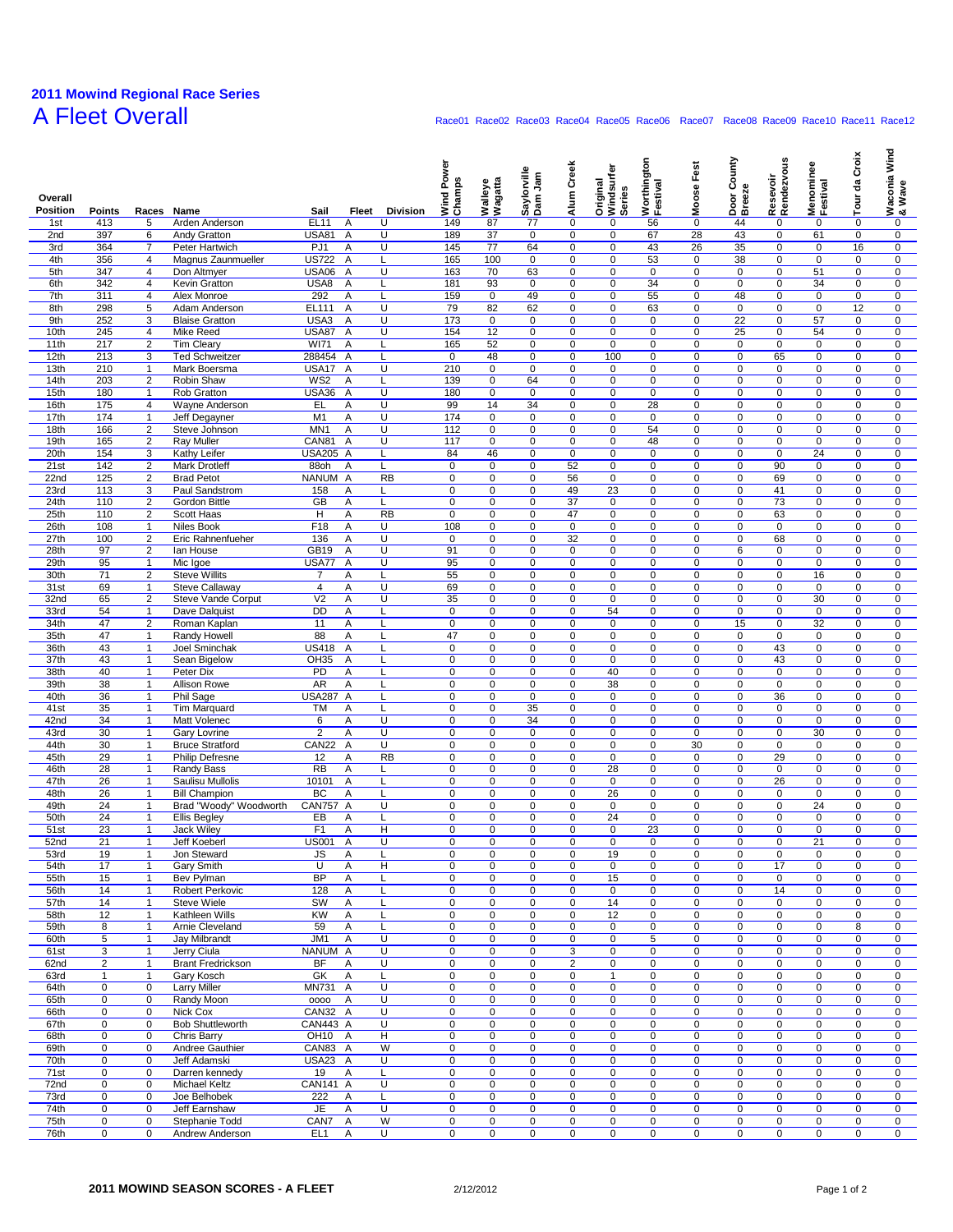## **2011 Mowind Regional Race Series** A Fleet Overall **Race01 Race01 Race02 Race03 Race04 Race05 Race06** Race07 Race08 Race09 Race10 Race11 Race12

| Overall<br><b>Position</b> | <b>Points</b>              | Races                            | <b>Name</b>                              | Sail                         | Fleet<br><b>Division</b>               | Power<br>Wind Pov<br>Champs | Wagatta<br>Walleye | Saylorville<br>Dam Jam        | Alum Creek       | Original<br>Windsurfer<br>Series | Worthington<br>Festival  | Moose Fest                    | County<br>Door C<br>Breeze | Resevoir<br>Rendezvous     | Menominee<br>Festival      | da Croix<br>$\overline{\mathsf{u}}$ | Waconia Wind<br>& Wave     |
|----------------------------|----------------------------|----------------------------------|------------------------------------------|------------------------------|----------------------------------------|-----------------------------|--------------------|-------------------------------|------------------|----------------------------------|--------------------------|-------------------------------|----------------------------|----------------------------|----------------------------|-------------------------------------|----------------------------|
| 1st                        | 413                        | 5                                | Arden Anderson                           | <b>EL11</b>                  | U<br>Α                                 | 149                         | 87                 | 77                            | 0                | 0                                | 56                       | 0                             | 44                         | 0                          | 0                          | 0                                   | 0                          |
| 2nd                        | 397                        | 6                                | Andy Gratton                             | USA81                        | U<br>Α                                 | 189                         | 37                 | 0                             | 0                | 0                                | 67                       | 28                            | 43                         | 0                          | 61                         | 0                                   | 0                          |
| 3rd                        | 364                        | $\overline{7}$                   | Peter Hartwich                           | PJ1                          | U<br>Α                                 | 145                         | 77                 | 64                            | $\mathbf 0$      | 0                                | 43                       | 26                            | 35                         | 0                          | 0                          | 16                                  | $\mathbf 0$                |
| 4th<br>5th                 | 356<br>347                 | 4<br>$\overline{4}$              | Magnus Zaunmueller<br>Don Altmyer        | <b>US722</b><br><b>USA06</b> | A<br>L<br>$\overline{\mathsf{U}}$<br>Α | 165<br>163                  | 100<br>70          | $\mathbf 0$<br>63             | 0<br>0           | $\mathbf 0$<br>$\mathbf 0$       | 53<br>$\mathbf 0$        | $\mathbf 0$<br>$\overline{0}$ | 38<br>0                    | $\mathbf 0$<br>$\mathbf 0$ | $\mathbf 0$<br>51          | 0<br>$\pmb{0}$                      | 0<br>0                     |
| 6th                        | 342                        | 4                                | Kevin Gratton                            | USA8                         | Α<br>L                                 | 181                         | 93                 | $\mathbf 0$                   | $\mathbf 0$      | $\mathbf 0$                      | 34                       | $\mathbf 0$                   | 0                          | 0                          | 34                         | $\pmb{0}$                           | 0                          |
| 7th                        | 311                        | 4                                | Alex Monroe                              | 292                          | Α<br>Г                                 | 159                         | 0                  | 49                            | 0                | 0                                | 55                       | 0                             | 48                         | 0                          | 0                          | 0                                   | $\mathbf 0$                |
| 8th                        | 298                        | 5                                | Adam Anderson                            | EL111                        | Α<br>U                                 | 79                          | 82                 | 62                            | 0                | $\mathbf 0$                      | 63                       | $\mathbf 0$                   | 0                          | $\mathbf 0$                | $\mathbf 0$                | 12                                  | $\mathbf 0$                |
| 9th                        | 252                        | 3                                | <b>Blaise Gratton</b>                    | USA3                         | $\overline{\mathsf{U}}$<br>Α           | 173                         | 0                  | $\mathbf 0$                   | 0                | 0                                | 0                        | $\mathbf 0$                   | 22                         | $\mathbf 0$                | 57                         | 0                                   | 0                          |
| 10th<br>11th               | 245<br>217                 | $\overline{4}$<br>$\overline{2}$ | Mike Reed<br><b>Tim Cleary</b>           | <b>USA87</b><br><b>WI71</b>  | Α<br>U<br>Α<br>Г                       | 154<br>165                  | 12<br>52           | $\mathbf 0$<br>$\mathbf 0$    | 0<br>$\pmb{0}$   | $\mathbf 0$<br>$\mathbf 0$       | 0<br>$\pmb{0}$           | $\mathbf 0$<br>$\mathbf 0$    | 25                         | $\mathbf 0$<br>0           | 54<br>$\mathbf 0$          | $\mathbf 0$<br>$\pmb{0}$            | $\mathbf 0$<br>$\mathbf 0$ |
| 12th                       | 213                        | 3                                | <b>Ted Schweitzer</b>                    | 288454                       | $\overline{A}$<br>L                    | 0                           | 48                 | $\mathbf 0$                   | 0                | 100                              | $\mathbf 0$              | 0                             | 0<br>0                     | 65                         | 0                          | 0                                   | 0                          |
| 13th                       | 210                        | $\mathbf{1}$                     | Mark Boersma                             | USA17                        | A<br>U                                 | 210                         | 0                  | $\mathbf 0$                   | 0                | 0                                | 0                        | $\mathbf 0$                   | 0                          | 0                          | $\mathsf 0$                | $\pmb{0}$                           | $\mathbf 0$                |
| 14th                       | 203                        | $\overline{2}$                   | Robin Shaw                               | WS <sub>2</sub>              | Α<br>Г                                 | 139                         | 0                  | 64                            | 0                | $\mathbf 0$                      | $\overline{0}$           | $\mathbf 0$                   | 0                          | $\mathbf 0$                | $\mathbf 0$                | 0                                   | 0                          |
| 15th                       | 180                        | $\mathbf{1}$                     | Rob Gratton                              | USA36                        | $\overline{\mathsf{U}}$<br>Α           | 180                         | 0                  | $\overline{0}$                | 0                | $\mathbf 0$                      | $\overline{0}$           | $\overline{0}$                | 0                          | $\mathbf 0$                | $\overline{0}$             | $\pmb{0}$                           | 0                          |
| 16th<br>17th               | 175<br>174                 | $\overline{4}$<br>$\mathbf{1}$   | Wayne Anderson                           | EL<br>M1                     | U<br>Α<br>U<br>Α                       | 99<br>174                   | 14<br>0            | 34<br>0                       | $\mathbf 0$<br>0 | $\mathbf 0$<br>0                 | 28<br>0                  | $\mathbf 0$<br>0              | 0<br>0                     | 0<br>0                     | 0<br>0                     | $\pmb{0}$<br>0                      | 0<br>$\mathbf 0$           |
| 18th                       | 166                        | $\overline{2}$                   | Jeff Degayner<br>Steve Johnson           | MN <sub>1</sub>              | $\overline{\mathsf{U}}$<br>Α           | 112                         | 0                  | $\mathbf 0$                   | 0                | $\mathbf 0$                      | 54                       | $\mathbf 0$                   | 0                          | $\mathbf 0$                | $\mathsf 0$                | $\pmb{0}$                           | $\mathbf 0$                |
| 19th                       | 165                        | $\overline{2}$                   | Ray Muller                               | CAN81                        | $\overline{\mathsf{U}}$<br>A           | 117                         | 0                  | $\mathbf 0$                   | 0                | 0                                | 48                       | $\mathbf 0$                   | 0                          | $\mathbf 0$                | $\mathbf 0$                | 0                                   | 0                          |
| 20th                       | 154                        | 3                                | Kathy Leifer                             | <b>USA205</b>                | $\overline{A}$<br>L                    | 84                          | 46                 | $\mathbf 0$                   | 0                | $\mathbf 0$                      | $\mathbf 0$              | $\mathbf 0$                   | 0                          | $\mathbf 0$                | $\overline{24}$            | $\pmb{0}$                           | $\mathbf 0$                |
| 21st                       | 142                        | $\overline{c}$                   | <b>Mark Drotleff</b>                     | 88oh                         | Α<br>Г                                 | $\mathbf 0$                 | 0                  | $\mathbf 0$                   | 52               | 0                                | $\pmb{0}$                | $\mathbf 0$                   | 0                          | 90                         | $\mathbf 0$                | $\pmb{0}$                           | $\mathbf 0$                |
| 22nd<br>23rd               | 125<br>113                 | 2<br>3                           | <b>Brad Petot</b><br>Paul Sandstrom      | NANUM A<br>158               | RB<br>Α<br>Г                           | 0<br>$\mathsf 0$            | 0<br>0             | 0<br>$\mathbf 0$              | 56<br>49         | 0<br>23                          | 0<br>0                   | 0<br>$\mathbf 0$              | 0<br>0                     | 69<br>41                   | 0<br>$\mathsf 0$           | 0<br>0                              | 0<br>$\mathbf 0$           |
| 24th                       | 110                        | $\overline{2}$                   | Gordon Bittle                            | GB                           | Α<br>Г                                 | $\mathbf 0$                 | 0                  | $\mathbf 0$                   | 37               | $\mathbf 0$                      | $\pmb{0}$                | $\mathbf 0$                   | 0                          | 73                         | $\mathbf 0$                | 0                                   | 0                          |
| 25th                       | 110                        | $\overline{2}$                   | <b>Scott Haas</b>                        | $\overline{H}$               | RB<br>Α                                | $\mathbf 0$                 | 0                  | $\overline{0}$                | 47               | $\mathbf 0$                      | $\mathbf 0$              | $\overline{0}$                | 0                          | 63                         | $\overline{0}$             | $\pmb{0}$                           | 0                          |
| 26th                       | 108                        | $\mathbf{1}$                     | Niles Book                               | F18                          | U<br>Α                                 | 108                         | $\pmb{0}$          | $\mathbf 0$                   | $\mathbf 0$      | 0                                | $\mathbf 0$              | $\mathbf 0$                   | 0                          | 0                          | 0                          | $\pmb{0}$                           | 0                          |
| 27th                       | 100                        | $\sqrt{2}$                       | Eric Rahnenfueher                        | 136                          | U<br>Α                                 | 0                           | 0                  | 0                             | 32               | 0                                | 0                        | 0                             | 0                          | 68                         | 0                          | 0                                   | $\mathbf 0$                |
| 28th<br>29th               | 97<br>95                   | $\overline{2}$<br>$\mathbf{1}$   | lan House<br>Mic Igoe                    | GB19<br>USA77                | $\overline{\mathsf{U}}$<br>Α<br>Α<br>U | 91<br>95                    | 0<br>0             | $\mathbf 0$<br>$\mathbf 0$    | $\mathbf 0$<br>0 | $\mathbf 0$<br>0                 | $\mathbf 0$<br>$\pmb{0}$ | $\mathbf 0$<br>$\mathbf 0$    | 6<br>0                     | $\mathbf 0$<br>$\mathbf 0$ | $\pmb{0}$<br>$\mathbf 0$   | $\pmb{0}$<br>$\pmb{0}$              | $\mathbf 0$<br>0           |
| 30th                       | 71                         | $\overline{2}$                   | <b>Steve Willits</b>                     | $\overline{7}$               | Α<br>L                                 | 55                          | 0                  | $\mathbf 0$                   | 0                | $\mathbf 0$                      | 0                        | $\mathbf 0$                   | $\mathbf 0$                | $\mathbf 0$                | 16                         | $\mathbf 0$                         | $\mathbf 0$                |
| 31st                       | 69                         | $\mathbf{1}$                     | <b>Steve Callaway</b>                    | $\overline{4}$               | U<br>Α                                 | 69                          | 0                  | $\pmb{0}$                     | $\pmb{0}$        | $\mathbf 0$                      | $\pmb{0}$                | $\mathbf 0$                   | 0                          | $\mathbf 0$                | $\mathbf 0$                | $\pmb{0}$                           | $\pmb{0}$                  |
| 32nd                       | 65                         | $\overline{2}$                   | Steve Vande Corput                       | V <sub>2</sub>               | U<br>Α                                 | 35                          | 0                  | 0                             | 0                | 0                                | 0                        | 0                             | 0                          | 0                          | 30                         | 0                                   | 0                          |
| 33rd                       | 54                         | $\mathbf{1}$                     | Dave Dalquist                            | <b>DD</b>                    | Α<br>Г                                 | $\pmb{0}$                   | 0                  | $\mathbf 0$                   | 0                | 54                               | 0                        | $\mathbf 0$                   | 0                          | $\mathbf 0$                | 0                          | $\pmb{0}$                           | $\mathbf 0$                |
| 34th<br>35th               | 47<br>47                   | $\overline{2}$<br>$\mathbf{1}$   | Roman Kaplan<br>Randy Howell             | 11<br>88                     | Α<br>L<br>Α                            | $\mathbf 0$<br>47           | 0<br>0             | $\mathbf 0$<br>$\overline{0}$ | 0<br>0           | $\mathbf 0$<br>$\mathbf 0$       | $\pmb{0}$<br>0           | $\mathbf 0$<br>$\overline{0}$ | 15<br>0                    | $\mathbf 0$<br>$\mathbf 0$ | 32<br>$\mathbf 0$          | 0<br>0                              | 0<br>0                     |
| 36th                       | 43                         | $\mathbf{1}$                     | Joel Sminchak                            | <b>US418</b>                 | Α<br>L                                 | $\mathbf 0$                 | 0                  | $\mathbf 0$                   | $\mathbf 0$      | $\mathbf 0$                      | $\mathbf 0$              | $\mathbf 0$                   | 0                          | 43                         | $\mathbf 0$                | $\pmb{0}$                           | 0                          |
| 37th                       | 43                         | $\mathbf{1}$                     | Sean Bigelow                             | OH35                         | Α<br>Г                                 | 0                           | 0                  | 0                             | 0                | 0                                | 0                        | 0                             | 0                          | 43                         | 0                          | 0                                   | $\mathbf 0$                |
| 38th                       | 40                         | $\mathbf{1}$                     | Peter Dix                                | PD                           | Α<br>L                                 | $\mathsf 0$                 | 0                  | $\mathbf 0$                   | 0                | 40                               | $\mathbf 0$              | $\mathbf 0$                   | 0                          | $\mathbf 0$                | $\mathsf 0$                | $\pmb{0}$                           | $\mathbf 0$                |
| 39th                       | 38                         | $\mathbf{1}$                     | Allison Rowe                             | <b>AR</b>                    | Α<br>L                                 | 0                           | 0                  | $\mathbf 0$                   | 0                | 38                               | $\pmb{0}$                | $\mathbf 0$                   | 0                          | $\mathbf 0$                | $\mathbf 0$                | 0                                   | 0                          |
| 40th<br>41st               | 36<br>35                   | $\mathbf{1}$                     | Phil Sage                                | <b>USA287</b>                | $\overline{A}$<br>L                    | $\mathsf 0$<br>$\mathbf 0$  | 0                  | $\mathbf 0$                   | 0                | 0                                | $\mathbf 0$              | $\mathbf 0$<br>$\mathbf 0$    | 0                          | 36                         | $\mathsf 0$                | $\pmb{0}$<br>$\pmb{0}$              | $\mathbf 0$<br>0           |
| 42nd                       | 34                         | $\mathbf{1}$<br>$\mathbf{1}$     | <b>Tim Marquard</b><br>Matt Volenec      | ТM<br>6                      | Α<br>L<br>U<br>Α                       | 0                           | 0<br>0             | 35<br>34                      | 0<br>0           | 0<br>0                           | $\pmb{0}$<br>0           | 0                             | 0<br>0                     | 0<br>0                     | 0<br>0                     | 0                                   | 0                          |
| 43rd                       | 30                         | $\mathbf{1}$                     | Gary Lovrine                             | $\overline{2}$               | Α<br>U                                 | $\pmb{0}$                   | 0                  | $\mathbf 0$                   | 0                | $\mathbf 0$                      | 0                        | $\mathbf 0$                   | 0                          | $\mathbf 0$                | 30                         | $\pmb{0}$                           | $\mathbf 0$                |
| 44th                       | 30                         | $\overline{1}$                   | <b>Bruce Stratford</b>                   | CAN22                        | $\overline{\mathsf{U}}$<br>A           | $\mathbf 0$                 | 0                  | $\mathbf 0$                   | 0                | $\mathbf 0$                      | $\pmb{0}$                | 30                            | 0                          | $\mathbf 0$                | $\mathbf 0$                | 0                                   | 0                          |
| 45th                       | 29                         | $\mathbf{1}$                     | Philip Defresne                          | 12                           | RB<br>Α                                | $\pmb{0}$                   | 0                  | $\overline{0}$                | 0                | $\mathbf 0$                      | $\mathbf 0$              | $\mathbf 0$                   | 0                          | 29                         | $\overline{0}$             | $\pmb{0}$                           | 0                          |
| 46th                       | 28<br>26                   | $\mathbf{1}$<br>1                | Randy Bass                               | <b>RB</b>                    | Α<br>L<br>Α<br>L                       | $\mathbf 0$<br>0            | $\pmb{0}$<br>0     | $\mathbf 0$<br>0              | 0<br>0           | 28<br>0                          | 0<br>0                   | $\mathbf 0$<br>0              | 0<br>0                     | 0<br>26                    | 0<br>0                     | $\pmb{0}$<br>0                      | 0<br>$\mathbf 0$           |
| 47th<br>48th               | 26                         | $\mathbf{1}$                     | Saulisu Mullolis<br><b>Bill Champion</b> | 10101<br>BC                  | Α<br>Г                                 | $\pmb{0}$                   | 0                  | $\mathbf 0$                   | 0                | 26                               | $\mathbf 0$              | $\mathbf 0$                   | 0                          | 0                          | $\mathbf 0$                | $\pmb{0}$                           | $\mathbf 0$                |
| 49th                       | 24                         | $\mathbf{1}$                     | Brad "Woody" Woodworth                   | <b>CAN757 A</b>              | U                                      | $\pmb{0}$                   | 0                  | $\mathbf 0$                   | 0                | 0                                | $\pmb{0}$                | $\mathbf 0$                   | 0                          | $\mathbf 0$                | 24                         | $\pmb{0}$                           | 0                          |
| 50th                       | 24                         | $\mathbf{1}$                     | <b>Ellis Begley</b>                      | EB                           | Α<br>L                                 | $\pmb{0}$                   | 0                  | 0                             | 0                | 24                               | $\mathbf 0$              | $\mathbf 0$                   | $\mathbf 0$                | $\mathbf 0$                | 0                          | $\mathbf 0$                         | $\mathbf 0$                |
| 51st                       | 23                         | $\mathbf{1}$                     | <b>Jack Wiley</b>                        | F1                           | $\overline{H}$<br>Α                    | 0                           | 0                  | 0                             | 0                | $\mathbf 0$                      | 23                       | $\mathbf 0$                   | 0                          | 0                          | 0                          | 0                                   | $\mathbf 0$                |
| 52nd                       | 21                         | 1                                | Jeff Koeberl                             | <b>US001</b>                 | Α<br>U                                 | $\Omega$                    | 0                  | 0                             | 0                | 0                                | 0                        | 0                             | 0                          | $\mathbf 0$                | 21                         | 0                                   | $\mathbf 0$                |
| 53rd<br>54th               | 19<br>17                   | $\mathbf{1}$<br>$\overline{1}$   | Jon Steward<br>Gary Smith                | <b>JS</b><br>U               | Α<br>L<br>H<br>Α                       | $\mathbf 0$<br>$\mathbf 0$  | 0<br>0             | 0<br>$\mathbf 0$              | 0<br>0           | 19<br>0                          | 0<br>$\pmb{0}$           | 0<br>$\mathbf 0$              | 0<br>0                     | 0<br>17                    | 0<br>0                     | 0<br>0                              | 0<br>0                     |
| 55th                       | 15                         | 1                                | Bev Pylman                               | <b>BP</b>                    | Α<br>L                                 | $\mathbf 0$                 | 0                  | $\mathbf 0$                   | 0                | 15                               | 0                        | 0                             | 0                          | 0                          | $\pmb{0}$                  | 0                                   | 0                          |
| 56th                       | 14                         | $\mathbf{1}$                     | Robert Perkovic                          | 128                          | A<br>L                                 | 0                           | 0                  | 0                             | 0                | 0                                | 0                        | 0                             | 0                          | 14                         | 0                          | 0                                   | 0                          |
| 57th                       | 14                         | $\overline{1}$                   | Steve Wiele                              | SW                           | L<br>Α                                 | $\mathsf 0$                 | 0                  | 0                             | 0                | 14                               | $\mathbf 0$              | 0                             | 0                          | 0                          | 0                          | $\pmb{0}$                           | $\mathbf 0$                |
| 58th<br>59th               | 12<br>8                    | $\mathbf{1}$<br>$\mathbf{1}$     | Kathleen Wills                           | KW                           | Α<br>L                                 | 0<br>0                      | 0                  | 0<br>$\mathbf 0$              | 0<br>0           | 12<br>0                          | 0                        | 0<br>$\mathbf 0$              | 0                          | 0<br>$\mathbf 0$           | 0<br>$\mathbf 0$           | 0                                   | 0<br>0                     |
| 60th                       | 5                          | $\mathbf{1}$                     | Arnie Cleveland<br>Jay Milbrandt         | 59<br>JM1                    | Г<br>A<br>U<br>Α                       | $\mathsf 0$                 | 0<br>0             | 0                             | 0                | 0                                | 0<br>5                   | 0                             | 0<br>0                     | 0                          | 0                          | 8<br>0                              | 0                          |
| 61st                       | 3                          | $\mathbf{1}$                     | Jerry Ciula                              | NANUM A                      | $\overline{U}$                         | $\mathbf 0$                 | 0                  | 0                             | 3                | 0                                | $\pmb{0}$                | 0                             | 0                          | 0                          | 0                          | 0                                   | 0                          |
| 62nd                       | $\overline{2}$             | $\mathbf{1}$                     | <b>Brant Fredrickson</b>                 | BF                           | U<br>Α                                 | 0                           | 0                  | $\mathbf 0$                   | $\overline{2}$   | 0                                | $\mathbf 0$              | 0                             | 0                          | 0                          | 0                          | 0                                   | 0                          |
| 63rd                       | $\mathbf{1}$               | $\mathbf{1}$                     | Gary Kosch                               | GK                           | Α<br>L                                 | 0                           | 0                  | 0                             | 0                | $\mathbf{1}$                     | 0                        | 0                             | 0                          | 0                          | 0                          | $\pmb{0}$                           | 0                          |
| 64th                       | $\mathbf 0$<br>$\mathbf 0$ | 0<br>0                           | <b>Larry Miller</b>                      | MN731 A                      | U<br>U                                 | $\mathbf 0$<br>$\mathsf 0$  | 0                  | $\mathbf 0$<br>$\mathbf 0$    | 0                | $\mathbf 0$                      | $\pmb{0}$<br>0           | $\mathbf 0$<br>$\mathbf 0$    | 0<br>0                     | 0                          | $\mathbf 0$<br>$\mathsf 0$ | 0<br>0                              | 0<br>0                     |
| 65th<br>66th               | 0                          | 0                                | Randy Moon<br>Nick Cox                   | 0000<br>CAN32 A              | Α<br>U                                 | 0                           | 0<br>0             | 0                             | 0<br>0           | 0<br>0                           | 0                        | 0                             | 0                          | 0<br>0                     | 0                          | 0                                   | 0                          |
| 67th                       | $\mathbf 0$                | 0                                | <b>Bob Shuttleworth</b>                  | CAN443 A                     | U                                      | $\mathsf 0$                 | 0                  | $\mathbf 0$                   | 0                | 0                                | $\mathbf 0$              | $\mathbf 0$                   | 0                          | 0                          | 0                          | $\pmb{0}$                           | $\mathbf 0$                |
| 68th                       | 0                          | 0                                | Chris Barry                              | OH <sub>10</sub> A           | Н                                      | 0                           | 0                  | 0                             | 0                | 0                                | 0                        | 0                             | 0                          | 0                          | 0                          | 0                                   | 0                          |
| 69th                       | $\mathbf 0$                | 0                                | Andree Gauthier                          | CAN83 A                      | W                                      | 0                           | 0                  | $\mathbf 0$                   | 0                | 0                                | $\pmb{0}$                | $\mathbf 0$                   | 0                          | $\mathbf 0$                | 0                          | 0                                   | 0                          |
| 70th                       | $\mathbf 0$                | 0                                | Jeff Adamski                             | USA <sub>23</sub> A          | U                                      | $\mathsf 0$                 | 0                  | 0                             | 0                | 0                                | 0                        | 0                             | 0                          | 0                          | 0                          | 0                                   | 0                          |
| 71st<br>72nd               | $\mathbf 0$<br>$\mathbf 0$ | 0<br>0                           | Darren kennedy<br>Michael Keltz          | 19<br>CAN141 A               | A<br>L<br>U                            | $\mathbf 0$<br>0            | 0<br>0             | 0<br>$\mathbf 0$              | 0<br>0           | 0<br>0                           | $\pmb{0}$<br>0           | 0<br>0                        | 0<br>0                     | 0<br>0                     | 0<br>$\mathbf 0$           | 0<br>0                              | 0<br>0                     |
| 73rd                       | 0                          | $\mathbf 0$                      | Joe Belhobek                             | 222                          | Α<br>L                                 | 0                           | 0                  | 0                             | 0                | 0                                | 0                        | 0                             | 0                          | 0                          | 0                          | 0                                   | 0                          |
| 74th                       | $\mathbf 0$                | $\mathbf 0$                      | Jeff Earnshaw                            | JE                           | Α<br>U                                 | $\mathbf 0$                 | 0                  | $\mathbf 0$                   | 0                | 0                                | $\pmb{0}$                | $\mathbf 0$                   | 0                          | 0                          | $\mathbf 0$                | 0                                   | 0                          |
| 75th                       | $\mathbf 0$                | 0                                | Stephanie Todd                           | CAN7                         | W<br>Α                                 | $\mathsf 0$                 | 0                  | $\mathbf 0$                   | 0                | 0                                | 0                        | $\mathbf 0$                   | 0                          | 0                          | $\mathsf 0$                | 0                                   | 0                          |
| 76th                       | 0                          | 0                                | Andrew Anderson                          | EL1                          | U<br>$\mathsf{A}$                      | $\mathbf 0$                 | $\pmb{0}$          | 0                             | 0                | 0                                | 0                        | 0                             | 0                          | 0                          | 0                          | 0                                   | 0                          |